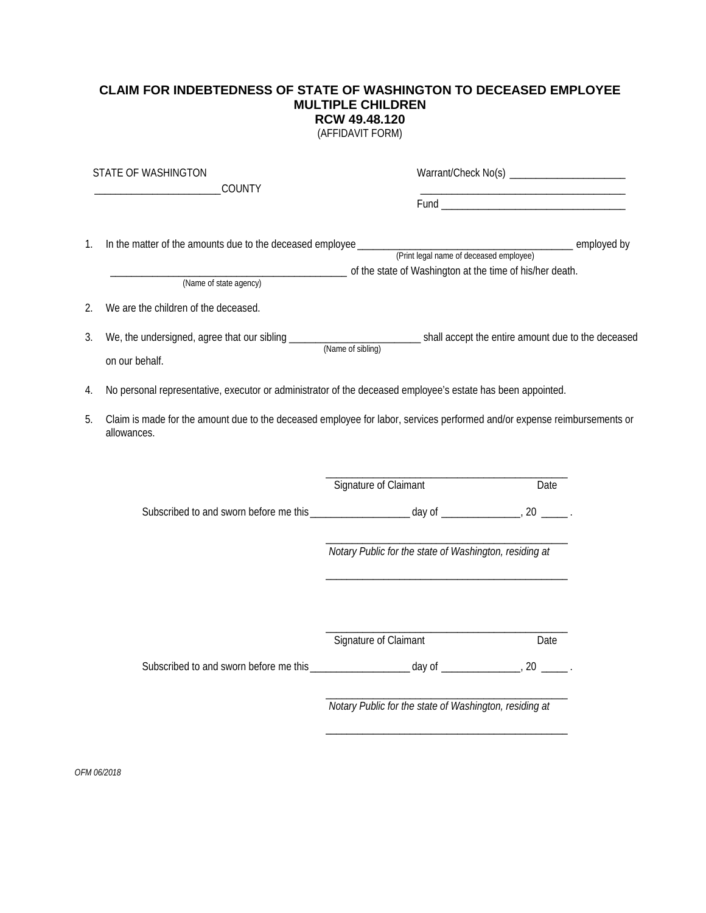## **CLAIM FOR INDEBTEDNESS OF STATE OF WASHINGTON TO DECEASED EMPLOYEE MULTIPLE CHILDREN RCW 49.48.120**

(AFFIDAVIT FORM)

| STATE OF WASHINGTON<br>COUNTY |                                                                                                                                         |                                                        |      |
|-------------------------------|-----------------------------------------------------------------------------------------------------------------------------------------|--------------------------------------------------------|------|
|                               |                                                                                                                                         |                                                        |      |
| 1.                            | (Name of state agency) of the state of Washington at the time of his/her death.                                                         |                                                        |      |
| 2.                            | We are the children of the deceased.                                                                                                    |                                                        |      |
| 3.                            | on our behalf.                                                                                                                          |                                                        |      |
| 4.                            | No personal representative, executor or administrator of the deceased employee's estate has been appointed.                             |                                                        |      |
| 5.                            | Claim is made for the amount due to the deceased employee for labor, services performed and/or expense reimbursements or<br>allowances. |                                                        |      |
|                               |                                                                                                                                         | Signature of Claimant                                  | Date |
|                               |                                                                                                                                         |                                                        |      |
|                               |                                                                                                                                         | Notary Public for the state of Washington, residing at |      |
|                               |                                                                                                                                         | Signature of Claimant                                  | Date |
|                               |                                                                                                                                         | Notary Public for the state of Washington, residing at |      |
|                               |                                                                                                                                         |                                                        |      |

*OFM 06/2018*